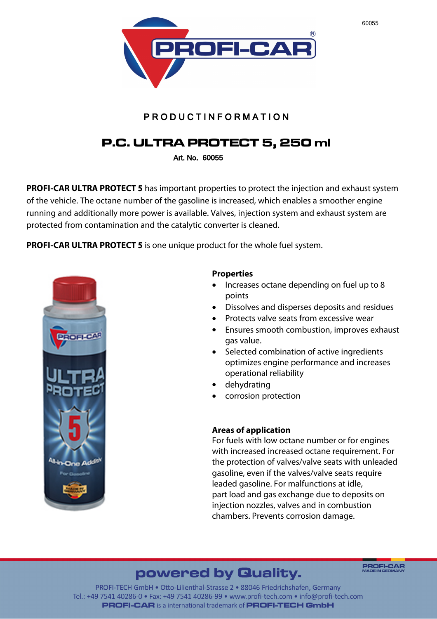

### **P R O D U C T I N F O R M A T I O N**

# P.C. ULTRA PROTECT 5, 250 ml

**Art. No. 60055**

**PROFI-CAR ULTRA PROTECT 5** has important properties to protect the injection and exhaust system of the vehicle. The octane number of the gasoline is increased, which enables a smoother engine running and additionally more power is available. Valves, injection system and exhaust system are protected from contamination and the catalytic converter is cleaned.

**PROFI-CAR ULTRA PROTECT 5** is one unique product for the whole fuel system.



### **Properties**

- · Increases octane depending on fuel up to 8 points
- · Dissolves and disperses deposits and residues
- · Protects valve seats from excessive wear
- · Ensures smooth combustion, improves exhaust gas value.
- · Selected combination of active ingredients optimizes engine performance and increases operational reliability
- · dehydrating
- · corrosion protection

### **Areas of application**

For fuels with low octane number or for engines with increased increased octane requirement. For the protection of valves/valve seats with unleaded gasoline, even if the valves/valve seats require leaded gasoline. For malfunctions at idle, part load and gas exchange due to deposits on injection nozzles, valves and in combustion chambers. Prevents corrosion damage.

# powered by Quality.

**PROFI-CAR** 

PROFI-TECH GmbH · Otto-Lilienthal-Strasse 2 · 88046 Friedrichshafen, Germany Tel.: +49 7541 40286-0 • Fax: +49 7541 40286-99 • www.profi-tech.com • info@profi-tech.com **PROFI-CAR** is a international trademark of **PROFI-TECH GmbH**